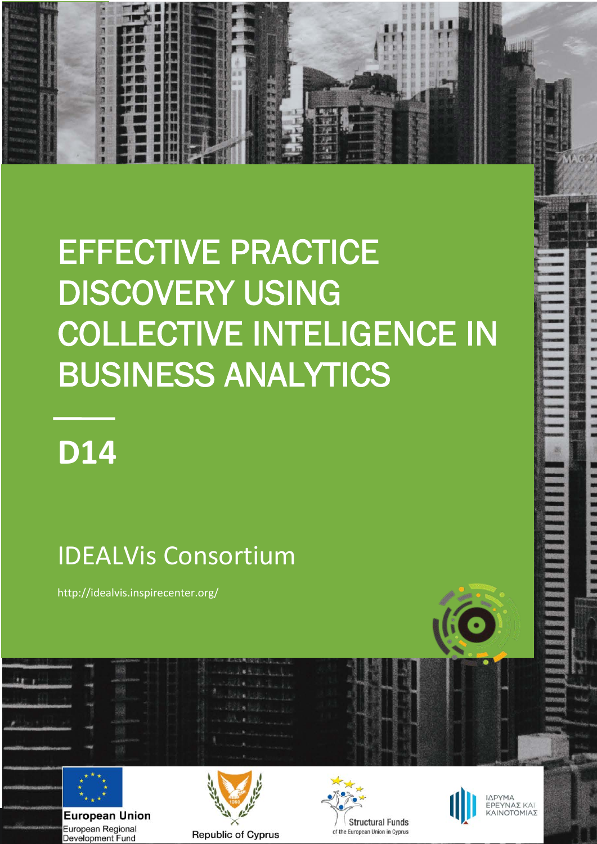# EFFECTIVE PRACTICE DISCOVERY USING COLLECTIVE INTELIGENCE IN BUSINESS ANALYTICS

# **D14**

**1**

50 切 50 万 50 万

# IDEALVis Consortium

http://idealvis.inspirecenter.org/



**European Union** European Regional Development Fund







ΙΔΡΥΜΑ EΡΕΥΝΑΣ ΚΑΙ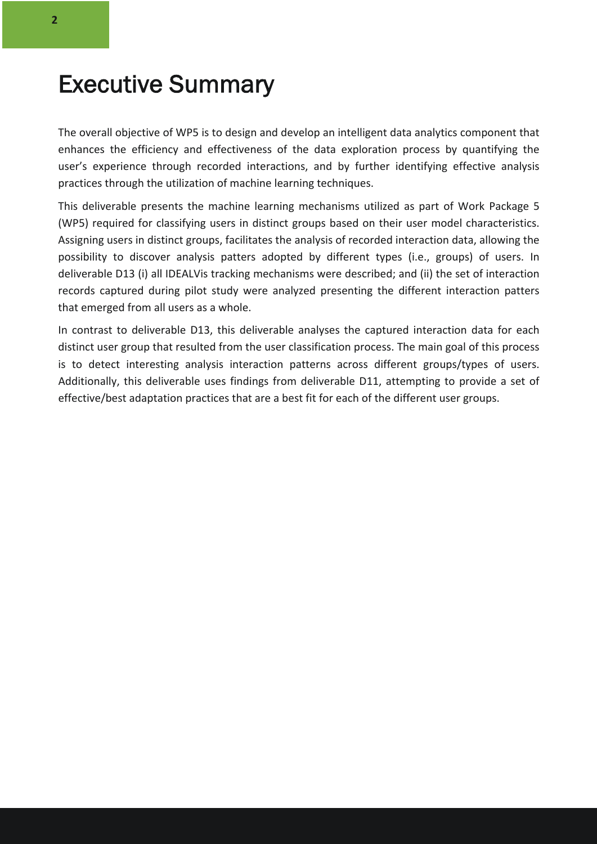### Executive Summary

The overall objective of WP5 is to design and develop an intelligent data analytics component that enhances the efficiency and effectiveness of the data exploration process by quantifying the user's experience through recorded interactions, and by further identifying effective analysis practices through the utilization of machine learning techniques.

This deliverable presents the machine learning mechanisms utilized as part of Work Package 5 (WP5) required for classifying users in distinct groups based on their user model characteristics. Assigning users in distinct groups, facilitates the analysis of recorded interaction data, allowing the possibility to discover analysis patters adopted by different types (i.e., groups) of users. In deliverable D13 (i) all IDEALVis tracking mechanisms were described; and (ii) the set of interaction records captured during pilot study were analyzed presenting the different interaction patters that emerged from all users as a whole.

In contrast to deliverable D13, this deliverable analyses the captured interaction data for each distinct user group that resulted from the user classification process. The main goal of this process is to detect interesting analysis interaction patterns across different groups/types of users. Additionally, this deliverable uses findings from deliverable D11, attempting to provide a set of effective/best adaptation practices that are a best fit for each of the different user groups.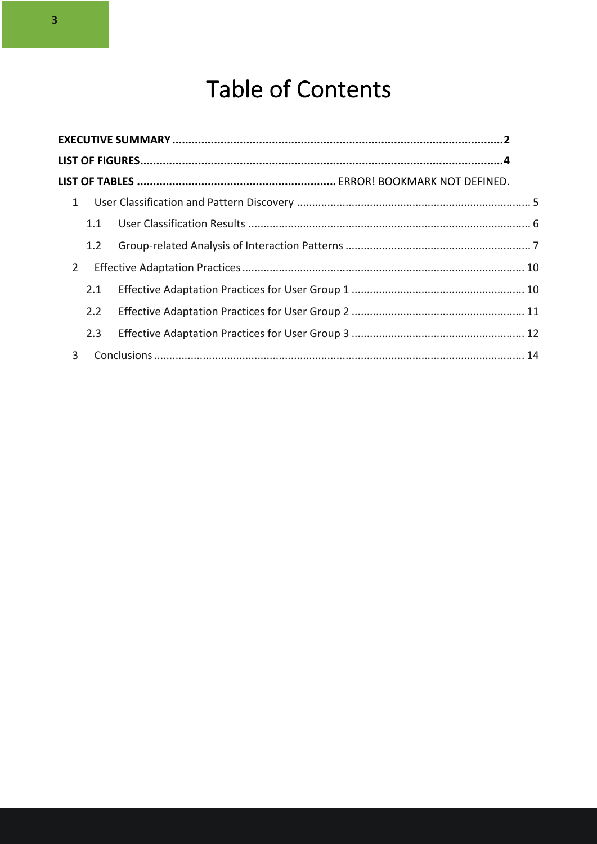## Table of Contents

| $\mathbf{1}$   |     |  |  |
|----------------|-----|--|--|
|                | 1.1 |  |  |
|                | 1.2 |  |  |
| $\overline{2}$ |     |  |  |
|                | 2.1 |  |  |
|                | 2.2 |  |  |
|                | 2.3 |  |  |
| 3              |     |  |  |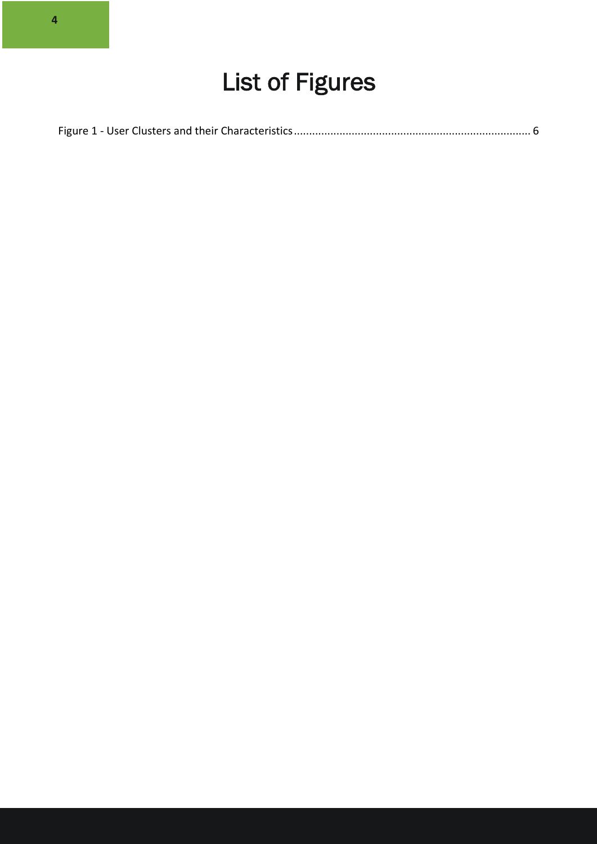# List of Figures

|--|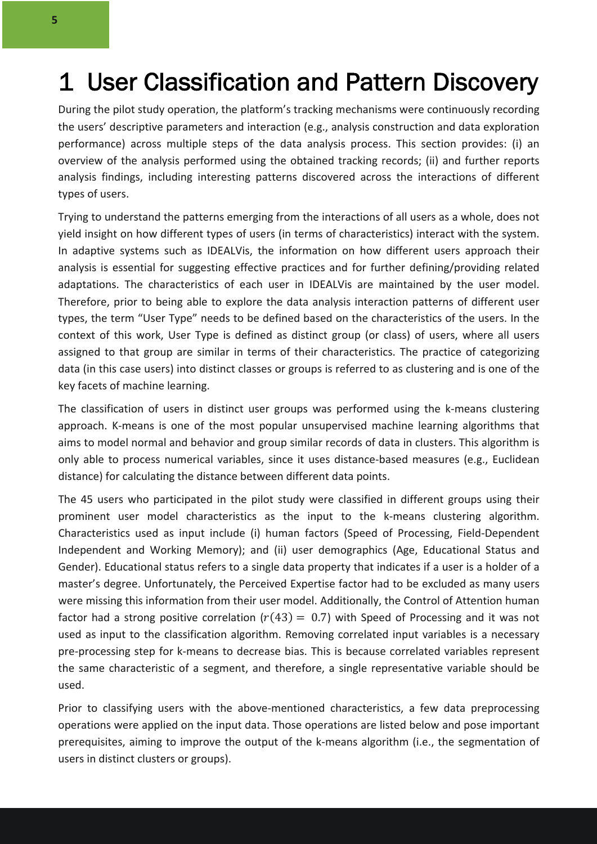### 1 User Classification and Pattern Discovery

During the pilot study operation, the platform's tracking mechanisms were continuously recording the users' descriptive parameters and interaction (e.g., analysis construction and data exploration performance) across multiple steps of the data analysis process. This section provides: (i) an overview of the analysis performed using the obtained tracking records; (ii) and further reports analysis findings, including interesting patterns discovered across the interactions of different types of users.

Trying to understand the patterns emerging from the interactions of all users as a whole, does not yield insight on how different types of users (in terms of characteristics) interact with the system. In adaptive systems such as IDEALVis, the information on how different users approach their analysis is essential for suggesting effective practices and for further defining/providing related adaptations. The characteristics of each user in IDEALVis are maintained by the user model. Therefore, prior to being able to explore the data analysis interaction patterns of different user types, the term "User Type" needs to be defined based on the characteristics of the users. In the context of this work, User Type is defined as distinct group (or class) of users, where all users assigned to that group are similar in terms of their characteristics. The practice of categorizing data (in this case users) into distinct classes or groups is referred to as clustering and is one of the key facets of machine learning.

The classification of users in distinct user groups was performed using the k-means clustering approach. K-means is one of the most popular unsupervised machine learning algorithms that aims to model normal and behavior and group similar records of data in clusters. This algorithm is only able to process numerical variables, since it uses distance-based measures (e.g., Euclidean distance) for calculating the distance between different data points.

The 45 users who participated in the pilot study were classified in different groups using their prominent user model characteristics as the input to the k-means clustering algorithm. Characteristics used as input include (i) human factors (Speed of Processing, Field-Dependent Independent and Working Memory); and (ii) user demographics (Age, Educational Status and Gender). Educational status refers to a single data property that indicates if a user is a holder of a master's degree. Unfortunately, the Perceived Expertise factor had to be excluded as many users were missing this information from their user model. Additionally, the Control of Attention human factor had a strong positive correlation ( $r(43) = 0.7$ ) with Speed of Processing and it was not used as input to the classification algorithm. Removing correlated input variables is a necessary pre-processing step for k-means to decrease bias. This is because correlated variables represent the same characteristic of a segment, and therefore, a single representative variable should be used.

Prior to classifying users with the above-mentioned characteristics, a few data preprocessing operations were applied on the input data. Those operations are listed below and pose important prerequisites, aiming to improve the output of the k-means algorithm (i.e., the segmentation of users in distinct clusters or groups).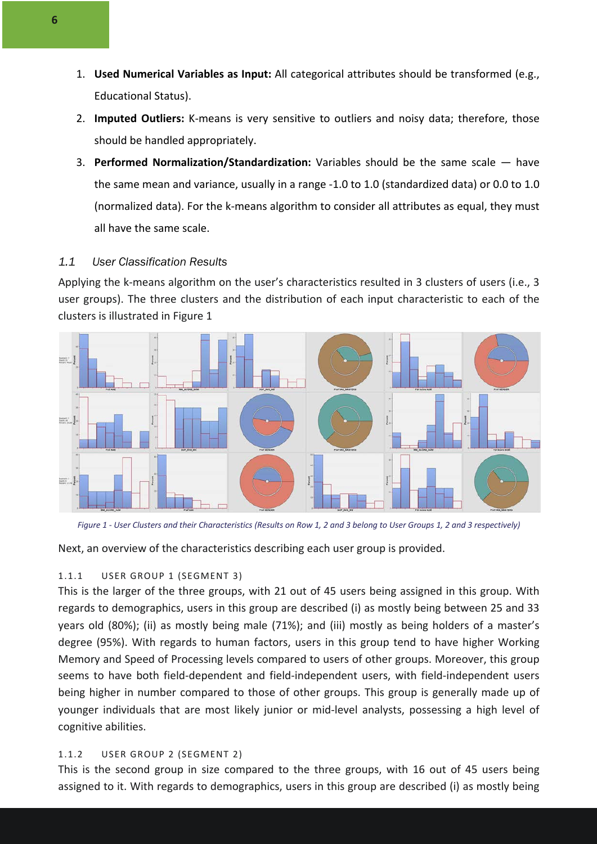- 1. **Used Numerical Variables as Input:** All categorical attributes should be transformed (e.g., Educational Status).
- 2. **Imputed Outliers:** K-means is very sensitive to outliers and noisy data; therefore, those should be handled appropriately.
- 3. **Performed Normalization/Standardization:** Variables should be the same scale have the same mean and variance, usually in a range -1.0 to 1.0 (standardized data) or 0.0 to 1.0 (normalized data). For the k-means algorithm to consider all attributes as equal, they must all have the same scale.

#### *1.1 User Classification Results*

Applying the k-means algorithm on the user's characteristics resulted in 3 clusters of users (i.e., 3 user groups). The three clusters and the distribution of each input characteristic to each of the clusters is illustrated in Figure 1



*Figure 1 - User Clusters and their Characteristics (Results on Row 1, 2 and 3 belong to User Groups 1, 2 and 3 respectively)*

Next, an overview of the characteristics describing each user group is provided.

#### 1.1.1 USER GROUP 1 (SEGMENT 3)

This is the larger of the three groups, with 21 out of 45 users being assigned in this group. With regards to demographics, users in this group are described (i) as mostly being between 25 and 33 years old (80%); (ii) as mostly being male (71%); and (iii) mostly as being holders of a master's degree (95%). With regards to human factors, users in this group tend to have higher Working Memory and Speed of Processing levels compared to users of other groups. Moreover, this group seems to have both field-dependent and field-independent users, with field-independent users being higher in number compared to those of other groups. This group is generally made up of younger individuals that are most likely junior or mid-level analysts, possessing a high level of cognitive abilities.

#### 1.1.2 USER GROUP 2 (SEGMENT 2)

This is the second group in size compared to the three groups, with 16 out of 45 users being assigned to it. With regards to demographics, users in this group are described (i) as mostly being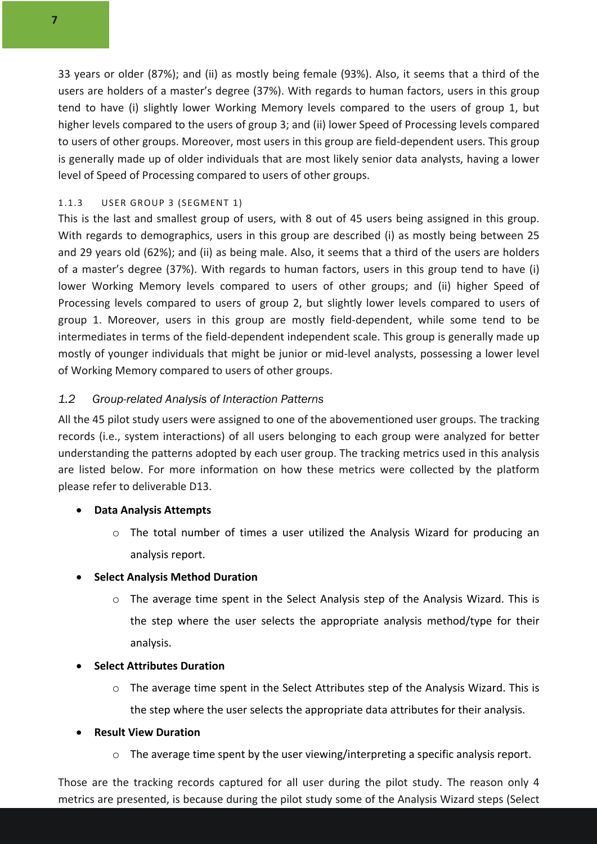33 years or older (87%); and (ii) as mostly being female (93%). Also, it seems that a third of the users are holders of a master's degree (37%). With regards to human factors, users in this group tend to have (i) slightly lower Working Memory levels compared to the users of group 1, but higher levels compared to the users of group 3; and (ii) lower Speed of Processing levels compared to users of other groups. Moreover, most users in this group are field-dependent users. This group is generally made up of older individuals that are most likely senior data analysts, having a lower level of Speed of Processing compared to users of other groups.

#### 1.1.3 USER GROUP 3 (SEGMENT 1)

This is the last and smallest group of users, with 8 out of 45 users being assigned in this group. With regards to demographics, users in this group are described (i) as mostly being between 25 and 29 years old (62%); and (ii) as being male. Also, it seems that a third of the users are holders of a master's degree (37%). With regards to human factors, users in this group tend to have (i) lower Working Memory levels compared to users of other groups; and (ii) higher Speed of Processing levels compared to users of group 2, but slightly lower levels compared to users of group 1. Moreover, users in this group are mostly field-dependent, while some tend to be intermediates in terms of the field-dependent independent scale. This group is generally made up mostly of younger individuals that might be junior or mid-level analysts, possessing a lower level of Working Memory compared to users of other groups.

#### *1.2 Group-related Analysis of Interaction Patterns*

All the 45 pilot study users were assigned to one of the abovementioned user groups. The tracking records (i.e., system interactions) of all users belonging to each group were analyzed for better understanding the patterns adopted by each user group. The tracking metrics used in this analysis are listed below. For more information on how these metrics were collected by the platform please refer to deliverable D13.

#### • **Data Analysis Attempts**

o The total number of times a user utilized the Analysis Wizard for producing an analysis report.

#### • **Select Analysis Method Duration**

 $\circ$  The average time spent in the Select Analysis step of the Analysis Wizard. This is the step where the user selects the appropriate analysis method/type for their analysis.

#### • **Select Attributes Duration**

o The average time spent in the Select Attributes step of the Analysis Wizard. This is the step where the user selects the appropriate data attributes for their analysis.

#### • **Result View Duration**

o The average time spent by the user viewing/interpreting a specific analysis report.

Those are the tracking records captured for all user during the pilot study. The reason only 4 metrics are presented, is because during the pilot study some of the Analysis Wizard steps (Select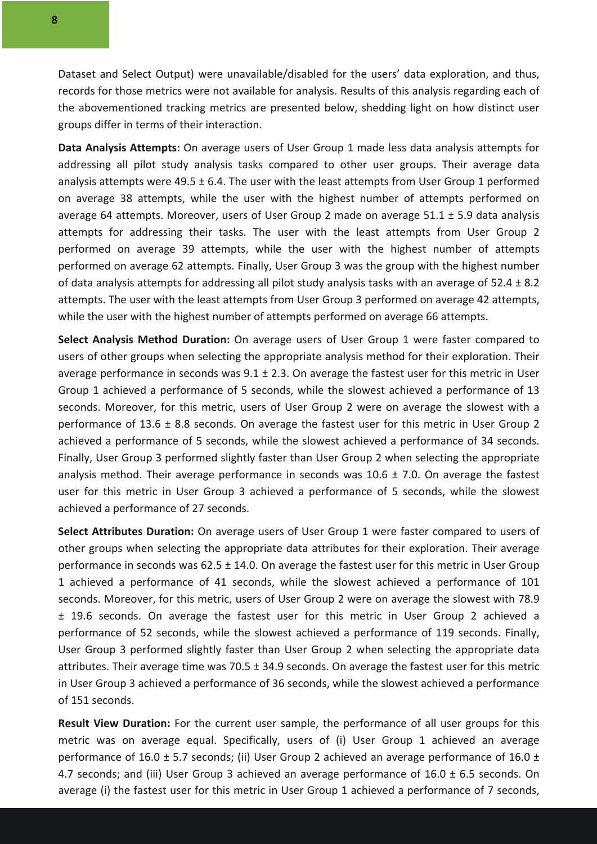Dataset and Select Output) were unavailable/disabled for the users' data exploration, and thus, records for those metrics were not available for analysis. Results of this analysis regarding each of the abovementioned tracking metrics are presented below, shedding light on how distinct user groups differ in terms of their interaction.

**Data Analysis Attempts:** On average users of User Group 1 made less data analysis attempts for addressing all pilot study analysis tasks compared to other user groups. Their average data analysis attempts were 49.5  $\pm$  6.4. The user with the least attempts from User Group 1 performed on average 38 attempts, while the user with the highest number of attempts performed on average 64 attempts. Moreover, users of User Group 2 made on average  $51.1 \pm 5.9$  data analysis attempts for addressing their tasks. The user with the least attempts from User Group 2 performed on average 39 attempts, while the user with the highest number of attempts performed on average 62 attempts. Finally, User Group 3 was the group with the highest number of data analysis attempts for addressing all pilot study analysis tasks with an average of 52.4  $\pm$  8.2 attempts. The user with the least attempts from User Group 3 performed on average 42 attempts, while the user with the highest number of attempts performed on average 66 attempts.

**Select Analysis Method Duration:** On average users of User Group 1 were faster compared to users of other groups when selecting the appropriate analysis method for their exploration. Their average performance in seconds was  $9.1 \pm 2.3$ . On average the fastest user for this metric in User Group 1 achieved a performance of 5 seconds, while the slowest achieved a performance of 13 seconds. Moreover, for this metric, users of User Group 2 were on average the slowest with a performance of 13.6 ± 8.8 seconds. On average the fastest user for this metric in User Group 2 achieved a performance of 5 seconds, while the slowest achieved a performance of 34 seconds. Finally, User Group 3 performed slightly faster than User Group 2 when selecting the appropriate analysis method. Their average performance in seconds was  $10.6 \pm 7.0$ . On average the fastest user for this metric in User Group 3 achieved a performance of 5 seconds, while the slowest achieved a performance of 27 seconds.

**Select Attributes Duration:** On average users of User Group 1 were faster compared to users of other groups when selecting the appropriate data attributes for their exploration. Their average performance in seconds was  $62.5 \pm 14.0$ . On average the fastest user for this metric in User Group 1 achieved a performance of 41 seconds, while the slowest achieved a performance of 101 seconds. Moreover, for this metric, users of User Group 2 were on average the slowest with 78.9 ± 19.6 seconds. On average the fastest user for this metric in User Group 2 achieved a performance of 52 seconds, while the slowest achieved a performance of 119 seconds. Finally, User Group 3 performed slightly faster than User Group 2 when selecting the appropriate data attributes. Their average time was 70.5  $\pm$  34.9 seconds. On average the fastest user for this metric in User Group 3 achieved a performance of 36 seconds, while the slowest achieved a performance of 151 seconds.

**Result View Duration:** For the current user sample, the performance of all user groups for this metric was on average equal. Specifically, users of (i) User Group 1 achieved an average performance of 16.0  $\pm$  5.7 seconds; (ii) User Group 2 achieved an average performance of 16.0  $\pm$ 4.7 seconds; and (iii) User Group 3 achieved an average performance of  $16.0 \pm 6.5$  seconds. On average (i) the fastest user for this metric in User Group 1 achieved a performance of 7 seconds,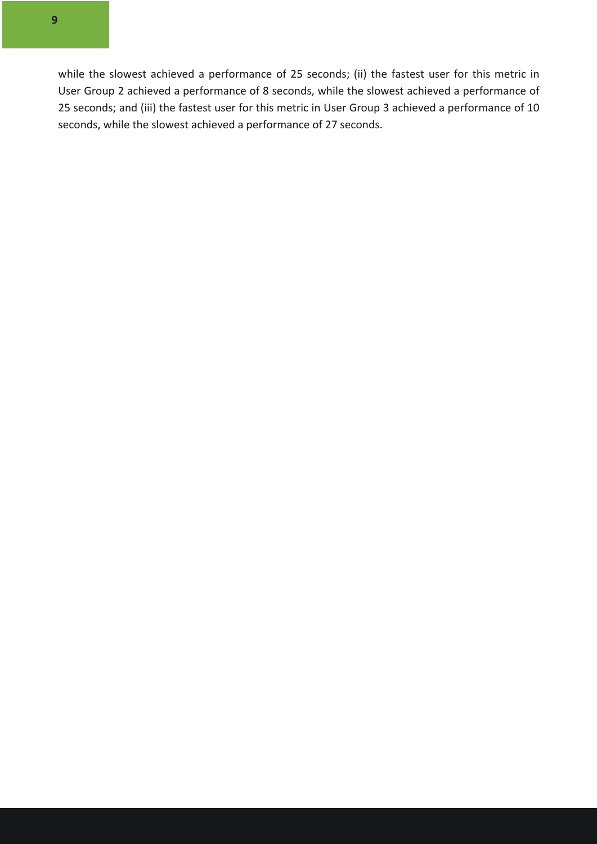while the slowest achieved a performance of 25 seconds; (ii) the fastest user for this metric in User Group 2 achieved a performance of 8 seconds, while the slowest achieved a performance of 25 seconds; and (iii) the fastest user for this metric in User Group 3 achieved a performance of 10 seconds, while the slowest achieved a performance of 27 seconds.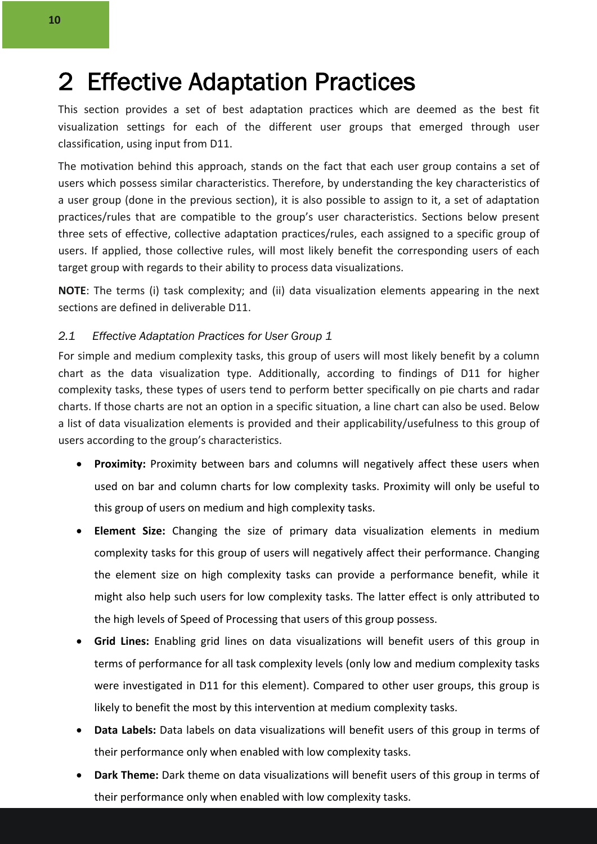### 2 Effective Adaptation Practices

This section provides a set of best adaptation practices which are deemed as the best fit visualization settings for each of the different user groups that emerged through user classification, using input from D11.

The motivation behind this approach, stands on the fact that each user group contains a set of users which possess similar characteristics. Therefore, by understanding the key characteristics of a user group (done in the previous section), it is also possible to assign to it, a set of adaptation practices/rules that are compatible to the group's user characteristics. Sections below present three sets of effective, collective adaptation practices/rules, each assigned to a specific group of users. If applied, those collective rules, will most likely benefit the corresponding users of each target group with regards to their ability to process data visualizations.

**NOTE**: The terms (i) task complexity; and (ii) data visualization elements appearing in the next sections are defined in deliverable D11.

#### *2.1 Effective Adaptation Practices for User Group 1*

For simple and medium complexity tasks, this group of users will most likely benefit by a column chart as the data visualization type. Additionally, according to findings of D11 for higher complexity tasks, these types of users tend to perform better specifically on pie charts and radar charts. If those charts are not an option in a specific situation, a line chart can also be used. Below a list of data visualization elements is provided and their applicability/usefulness to this group of users according to the group's characteristics.

- **Proximity:** Proximity between bars and columns will negatively affect these users when used on bar and column charts for low complexity tasks. Proximity will only be useful to this group of users on medium and high complexity tasks.
- **Element Size:** Changing the size of primary data visualization elements in medium complexity tasks for this group of users will negatively affect their performance. Changing the element size on high complexity tasks can provide a performance benefit, while it might also help such users for low complexity tasks. The latter effect is only attributed to the high levels of Speed of Processing that users of this group possess.
- **Grid Lines:** Enabling grid lines on data visualizations will benefit users of this group in terms of performance for all task complexity levels (only low and medium complexity tasks were investigated in D11 for this element). Compared to other user groups, this group is likely to benefit the most by this intervention at medium complexity tasks.
- **Data Labels:** Data labels on data visualizations will benefit users of this group in terms of their performance only when enabled with low complexity tasks.
- **Dark Theme:** Dark theme on data visualizations will benefit users of this group in terms of their performance only when enabled with low complexity tasks.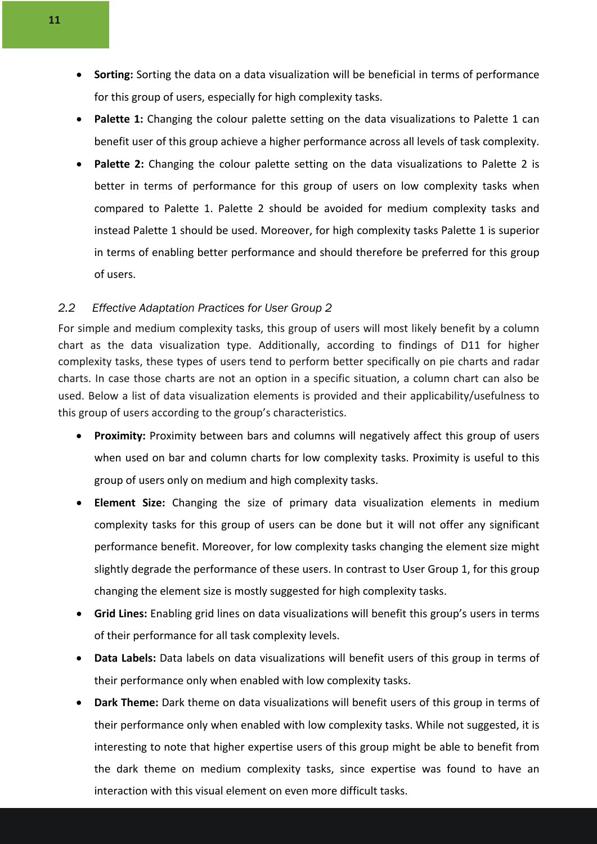- **Sorting:** Sorting the data on a data visualization will be beneficial in terms of performance for this group of users, especially for high complexity tasks.
- Palette 1: Changing the colour palette setting on the data visualizations to Palette 1 can benefit user of this group achieve a higher performance across all levels of task complexity.
- Palette 2: Changing the colour palette setting on the data visualizations to Palette 2 is better in terms of performance for this group of users on low complexity tasks when compared to Palette 1. Palette 2 should be avoided for medium complexity tasks and instead Palette 1 should be used. Moreover, for high complexity tasks Palette 1 is superior in terms of enabling better performance and should therefore be preferred for this group of users.

#### *2.2 Effective Adaptation Practices for User Group 2*

For simple and medium complexity tasks, this group of users will most likely benefit by a column chart as the data visualization type. Additionally, according to findings of D11 for higher complexity tasks, these types of users tend to perform better specifically on pie charts and radar charts. In case those charts are not an option in a specific situation, a column chart can also be used. Below a list of data visualization elements is provided and their applicability/usefulness to this group of users according to the group's characteristics.

- **Proximity:** Proximity between bars and columns will negatively affect this group of users when used on bar and column charts for low complexity tasks. Proximity is useful to this group of users only on medium and high complexity tasks.
- **Element Size:** Changing the size of primary data visualization elements in medium complexity tasks for this group of users can be done but it will not offer any significant performance benefit. Moreover, for low complexity tasks changing the element size might slightly degrade the performance of these users. In contrast to User Group 1, for this group changing the element size is mostly suggested for high complexity tasks.
- **Grid Lines:** Enabling grid lines on data visualizations will benefit this group's users in terms of their performance for all task complexity levels.
- **Data Labels:** Data labels on data visualizations will benefit users of this group in terms of their performance only when enabled with low complexity tasks.
- **Dark Theme:** Dark theme on data visualizations will benefit users of this group in terms of their performance only when enabled with low complexity tasks. While not suggested, it is interesting to note that higher expertise users of this group might be able to benefit from the dark theme on medium complexity tasks, since expertise was found to have an interaction with this visual element on even more difficult tasks.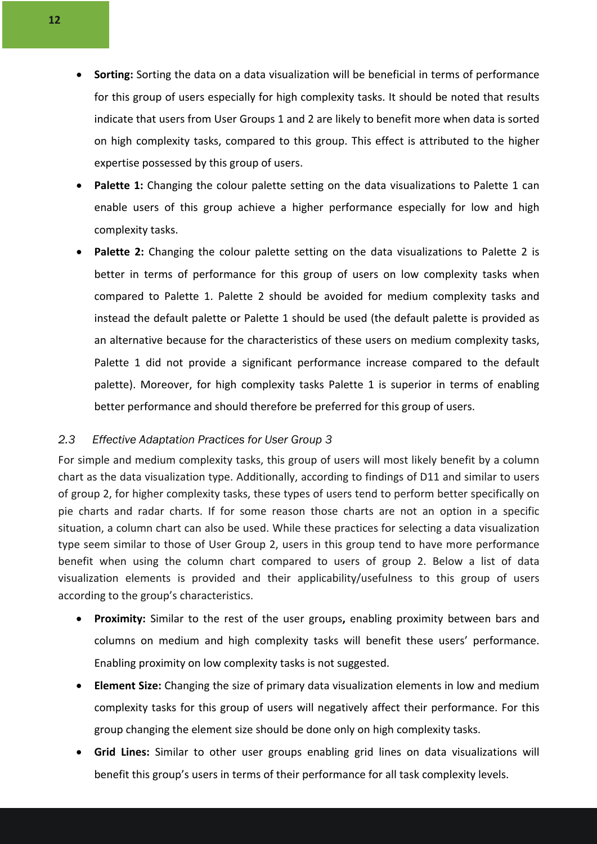- **Sorting:** Sorting the data on a data visualization will be beneficial in terms of performance for this group of users especially for high complexity tasks. It should be noted that results indicate that users from User Groups 1 and 2 are likely to benefit more when data is sorted on high complexity tasks, compared to this group. This effect is attributed to the higher expertise possessed by this group of users.
- **Palette 1:** Changing the colour palette setting on the data visualizations to Palette 1 can enable users of this group achieve a higher performance especially for low and high complexity tasks.
- **Palette 2:** Changing the colour palette setting on the data visualizations to Palette 2 is better in terms of performance for this group of users on low complexity tasks when compared to Palette 1. Palette 2 should be avoided for medium complexity tasks and instead the default palette or Palette 1 should be used (the default palette is provided as an alternative because for the characteristics of these users on medium complexity tasks, Palette 1 did not provide a significant performance increase compared to the default palette). Moreover, for high complexity tasks Palette 1 is superior in terms of enabling better performance and should therefore be preferred for this group of users.

#### *2.3 Effective Adaptation Practices for User Group 3*

For simple and medium complexity tasks, this group of users will most likely benefit by a column chart as the data visualization type. Additionally, according to findings of D11 and similar to users of group 2, for higher complexity tasks, these types of users tend to perform better specifically on pie charts and radar charts. If for some reason those charts are not an option in a specific situation, a column chart can also be used. While these practices for selecting a data visualization type seem similar to those of User Group 2, users in this group tend to have more performance benefit when using the column chart compared to users of group 2. Below a list of data visualization elements is provided and their applicability/usefulness to this group of users according to the group's characteristics.

- **Proximity:** Similar to the rest of the user groups**,** enabling proximity between bars and columns on medium and high complexity tasks will benefit these users' performance. Enabling proximity on low complexity tasks is not suggested.
- **Element Size:** Changing the size of primary data visualization elements in low and medium complexity tasks for this group of users will negatively affect their performance. For this group changing the element size should be done only on high complexity tasks.
- **Grid Lines:** Similar to other user groups enabling grid lines on data visualizations will benefit this group's users in terms of their performance for all task complexity levels.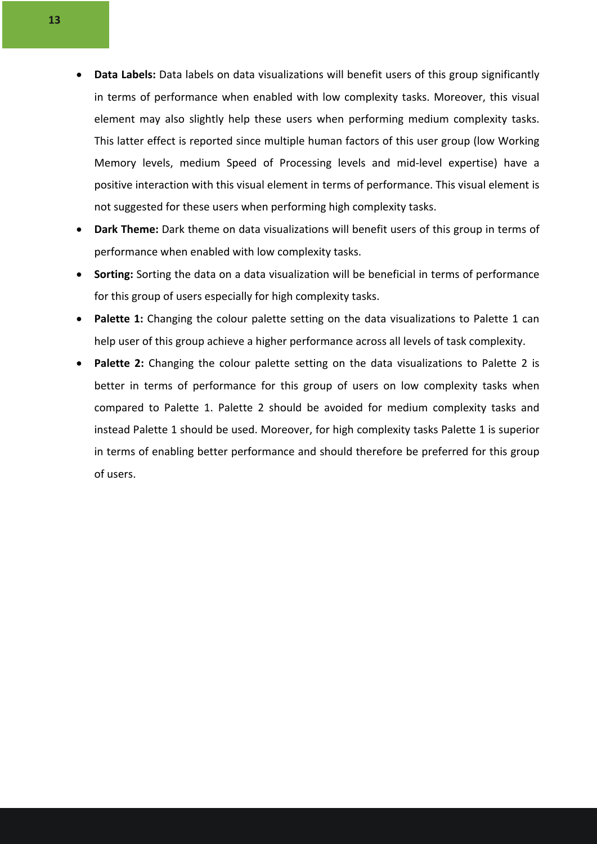- **Data Labels:** Data labels on data visualizations will benefit users of this group significantly in terms of performance when enabled with low complexity tasks. Moreover, this visual element may also slightly help these users when performing medium complexity tasks. This latter effect is reported since multiple human factors of this user group (low Working Memory levels, medium Speed of Processing levels and mid-level expertise) have a positive interaction with this visual element in terms of performance. This visual element is not suggested for these users when performing high complexity tasks.
- **Dark Theme:** Dark theme on data visualizations will benefit users of this group in terms of performance when enabled with low complexity tasks.
- **Sorting:** Sorting the data on a data visualization will be beneficial in terms of performance for this group of users especially for high complexity tasks.
- Palette 1: Changing the colour palette setting on the data visualizations to Palette 1 can help user of this group achieve a higher performance across all levels of task complexity.
- Palette 2: Changing the colour palette setting on the data visualizations to Palette 2 is better in terms of performance for this group of users on low complexity tasks when compared to Palette 1. Palette 2 should be avoided for medium complexity tasks and instead Palette 1 should be used. Moreover, for high complexity tasks Palette 1 is superior in terms of enabling better performance and should therefore be preferred for this group of users.